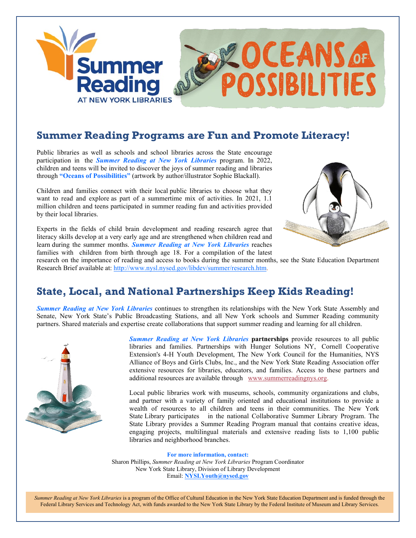

### **Summer Reading Programs are Fun and Promote Literacy!**

Public libraries as well as schools and school libraries across the State encourage participation in the *Summer Reading at New York Libraries* program. In 2022, children and teens will be invited to discover the joys of summer reading and libraries through **"Oceans of Possibilities"** (artwork by author/illustrator Sophie Blackall).

Children and families connect with their local public libraries to choose what they want to read and explore as part of a summertime mix of activities. In 2021, 1.1 million children and teens participated in summer reading fun and activities provided by their local libraries.

Experts in the fields of child brain development and reading research agree that literacy skills develop at a very early age and are strengthened when children read and learn during the summer months. *Summer Reading at New York Libraries* reaches families with children from birth through age 18. For a compilation of the latest



research on the importance of reading and access to books during the summer months, see the State Education Department Research Brief available at: [http://www.nysl.nysed.gov/libdev/summer/research.htm.](http://www.nysl.nysed.gov/libdev/summer/research.htm)

## **State, Local, and National Partnerships Keep Kids Reading!**

*Summer Reading at New York Libraries* continues to strengthen its relationships with the New York State Assembly and Senate, New York State's Public Broadcasting Stations, and all New York schools and Summer Reading community partners. Shared materials and expertise create collaborations that support summer reading and learning for all children.



*Summer Reading at New York Libraries* **partnerships** provide resources to all public libraries and families. Partnerships with Hunger Solutions NY, Cornell Cooperative Extension's 4-H Youth Development, The New York Council for the Humanities, NYS Alliance of Boys and Girls Clubs, Inc., and the New York State Reading Association offer extensive resources for libraries, educators, and families. Access to these partners and additional resources are available through [www.summerreadingnys.org.](http://www.summerreadingnys.org/)

Local public libraries work with museums, schools, community organizations and clubs, and partner with a variety of family oriented and educational institutions to provide a wealth of resources to all children and teens in their communities. The New York State Library participates in the national Collaborative Summer Library Program. The State Library provides a Summer Reading Program manual that contains creative ideas, engaging projects, multilingual materials and extensive reading lists to 1,100 public libraries and neighborhood branches.

#### **For more information, contact:**

Sharon Phillips, *Summer Reading at New York Libraries* Program Coordinator New York State Library, Division of Library Development Email: **[NYSLYouth@nysed.gov](mailto:NYSLYouth@nysed.gov)**

*Summer Reading at New York Libraries* is a program of the Office of Cultural Education in the New York State Education Department and is funded through the Federal Library Services and Technology Act, with funds awarded to the New York State Library by the Federal Institute of Museum and Library Services.